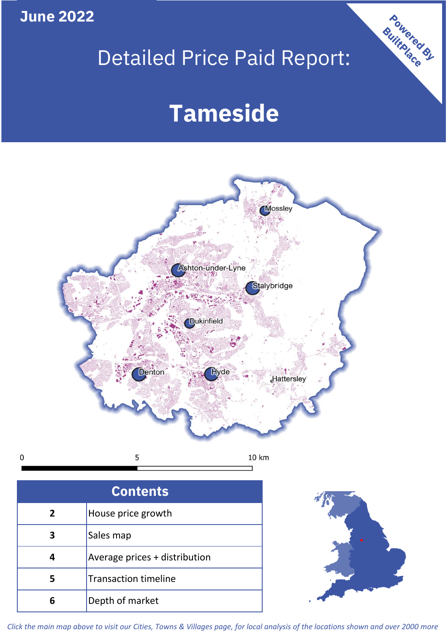**June 2022**

 $\mathbf 0$ 

# Detailed Price Paid Report:

# **Tameside**



| <b>Contents</b> |                               |  |  |
|-----------------|-------------------------------|--|--|
| $\overline{2}$  | House price growth            |  |  |
| 3               | Sales map                     |  |  |
| 4               | Average prices + distribution |  |  |
| 5               | <b>Transaction timeline</b>   |  |  |
| հ               | Depth of market               |  |  |



Powered By

*Click the main map above to visit our Cities, Towns & Villages page, for local analysis of the locations shown and over 2000 more*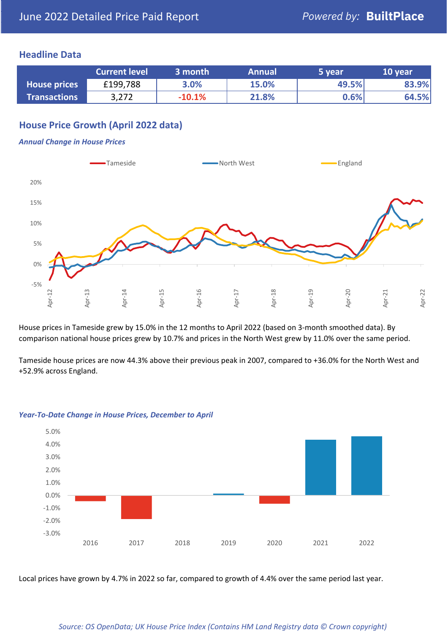#### **Headline Data**

|                     | <b>Current level</b> | 3 month  | <b>Annual</b> | 5 year | 10 year |
|---------------------|----------------------|----------|---------------|--------|---------|
| <b>House prices</b> | £199,788             | 3.0%     | 15.0%         | 49.5%  | 83.9%   |
| <b>Transactions</b> | 3,272                | $-10.1%$ | 21.8%         | 0.6%   | 64.5%   |

# **House Price Growth (April 2022 data)**

#### *Annual Change in House Prices*



House prices in Tameside grew by 15.0% in the 12 months to April 2022 (based on 3-month smoothed data). By comparison national house prices grew by 10.7% and prices in the North West grew by 11.0% over the same period.

Tameside house prices are now 44.3% above their previous peak in 2007, compared to +36.0% for the North West and +52.9% across England.



#### *Year-To-Date Change in House Prices, December to April*

Local prices have grown by 4.7% in 2022 so far, compared to growth of 4.4% over the same period last year.

#### *Source: OS OpenData; UK House Price Index (Contains HM Land Registry data © Crown copyright)*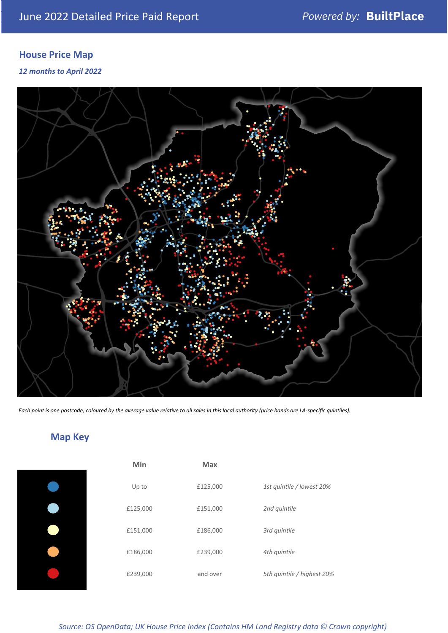# **House Price Map**

*12 months to April 2022*



*Each point is one postcode, coloured by the average value relative to all sales in this local authority (price bands are LA-specific quintiles).*

# **Map Key**

| Min      | Max      |                            |
|----------|----------|----------------------------|
| Up to    | £125,000 | 1st quintile / lowest 20%  |
| £125,000 | £151,000 | 2nd quintile               |
| £151,000 | £186,000 | 3rd quintile               |
| £186,000 | £239,000 | 4th quintile               |
| £239,000 | and over | 5th quintile / highest 20% |

*Source: OS OpenData; UK House Price Index (Contains HM Land Registry data © Crown copyright)*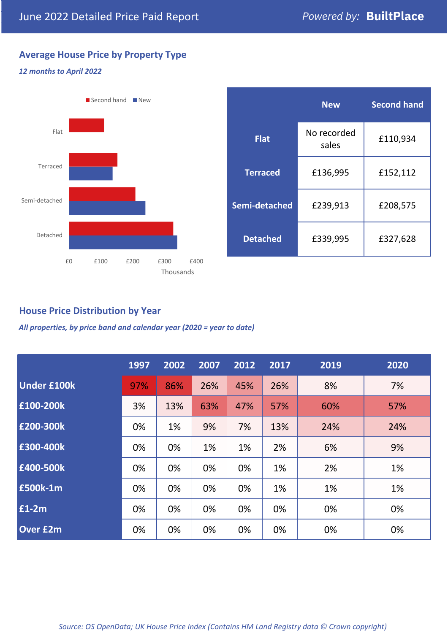# **Average House Price by Property Type**

#### *12 months to April 2022*



|                 | <b>New</b>           | <b>Second hand</b> |  |  |
|-----------------|----------------------|--------------------|--|--|
| <b>Flat</b>     | No recorded<br>sales | £110,934           |  |  |
| <b>Terraced</b> | £136,995             | £152,112           |  |  |
| Semi-detached   | £239,913             | £208,575           |  |  |
| <b>Detached</b> | £339,995             | £327,628           |  |  |

### **House Price Distribution by Year**

*All properties, by price band and calendar year (2020 = year to date)*

|                    | 1997 | 2002 | 2007 | 2012 | 2017 | 2019 | 2020 |
|--------------------|------|------|------|------|------|------|------|
| <b>Under £100k</b> | 97%  | 86%  | 26%  | 45%  | 26%  | 8%   | 7%   |
| £100-200k          | 3%   | 13%  | 63%  | 47%  | 57%  | 60%  | 57%  |
| £200-300k          | 0%   | 1%   | 9%   | 7%   | 13%  | 24%  | 24%  |
| £300-400k          | 0%   | 0%   | 1%   | 1%   | 2%   | 6%   | 9%   |
| £400-500k          | 0%   | 0%   | 0%   | 0%   | 1%   | 2%   | 1%   |
| <b>£500k-1m</b>    | 0%   | 0%   | 0%   | 0%   | 1%   | 1%   | 1%   |
| £1-2m              | 0%   | 0%   | 0%   | 0%   | 0%   | 0%   | 0%   |
| <b>Over £2m</b>    | 0%   | 0%   | 0%   | 0%   | 0%   | 0%   | 0%   |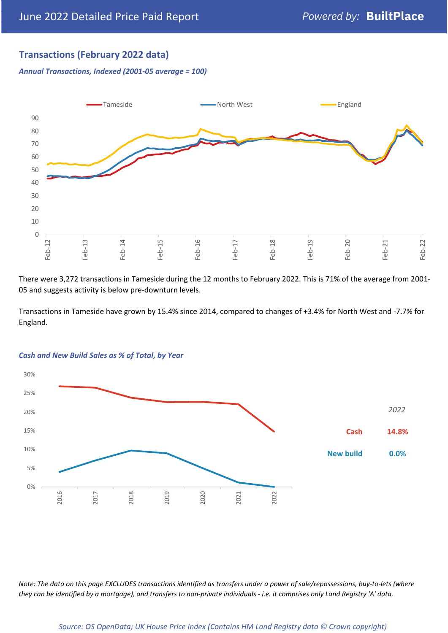## **Transactions (February 2022 data)**

*Annual Transactions, Indexed (2001-05 average = 100)*



There were 3,272 transactions in Tameside during the 12 months to February 2022. This is 71% of the average from 2001- 05 and suggests activity is below pre-downturn levels.

Transactions in Tameside have grown by 15.4% since 2014, compared to changes of +3.4% for North West and -7.7% for England.



#### *Cash and New Build Sales as % of Total, by Year*

*Note: The data on this page EXCLUDES transactions identified as transfers under a power of sale/repossessions, buy-to-lets (where they can be identified by a mortgage), and transfers to non-private individuals - i.e. it comprises only Land Registry 'A' data.*